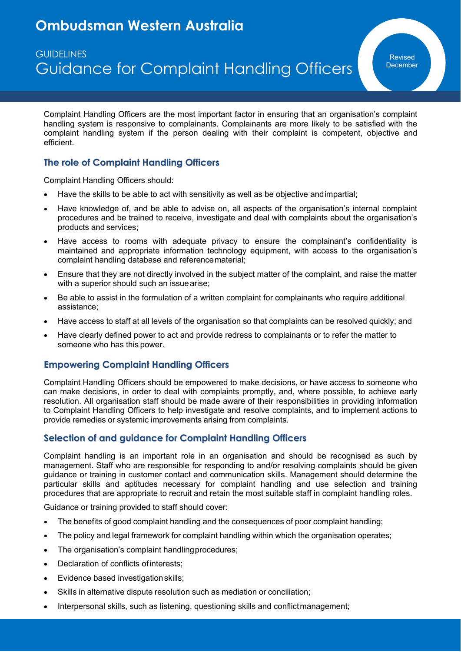# **Ombudsman Western Australia**

# **GUIDELINES** Guidance for Complaint Handling Officers

Complaint Handling Officers are the most important factor in ensuring that an organisation's complaint handling system is responsive to complainants. Complainants are more likely to be satisfied with the complaint handling system if the person dealing with their complaint is competent, objective and efficient.

## **The role of Complaint Handling Officers**

Complaint Handling Officers should:

- Have the skills to be able to act with sensitivity as well as be objective andimpartial;
- Have knowledge of, and be able to advise on, all aspects of the organisation's internal complaint procedures and be trained to receive, investigate and deal with complaints about the organisation's products and services;
- Have access to rooms with adequate privacy to ensure the complainant's confidentiality is maintained and appropriate information technology equipment, with access to the organisation's complaint handling database and referencematerial;
- Ensure that they are not directly involved in the subject matter of the complaint, and raise the matter with a superior should such an issue arise;
- Be able to assist in the formulation of a written complaint for complainants who require additional assistance;
- Have access to staff at all levels of the organisation so that complaints can be resolved quickly; and
- Have clearly defined power to act and provide redress to complainants or to refer the matter to someone who has this power.

## **Empowering Complaint Handling Officers**

Complaint Handling Officers should be empowered to make decisions, or have access to someone who can make decisions, in order to deal with complaints promptly, and, where possible, to achieve early resolution. All organisation staff should be made aware of their responsibilities in providing information to Complaint Handling Officers to help investigate and resolve complaints, and to implement actions to provide remedies or systemic improvements arising from complaints.

## **Selection of and guidance for Complaint Handling Officers**

Complaint handling is an important role in an organisation and should be recognised as such by management. Staff who are responsible for responding to and/or resolving complaints should be given guidance or training in customer contact and communication skills. Management should determine the particular skills and aptitudes necessary for complaint handling and use selection and training procedures that are appropriate to recruit and retain the most suitable staff in complaint handling roles.

Guidance or training provided to staff should cover:

- The benefits of good complaint handling and the consequences of poor complaint handling;
- The policy and legal framework for complaint handling within which the organisation operates;
- The organisation's complaint handling procedures;
- Declaration of conflicts ofinterests;
- Evidence based investigation skills;
- Skills in alternative dispute resolution such as mediation or conciliation;
- Interpersonal skills, such as listening, questioning skills and conflictmanagement;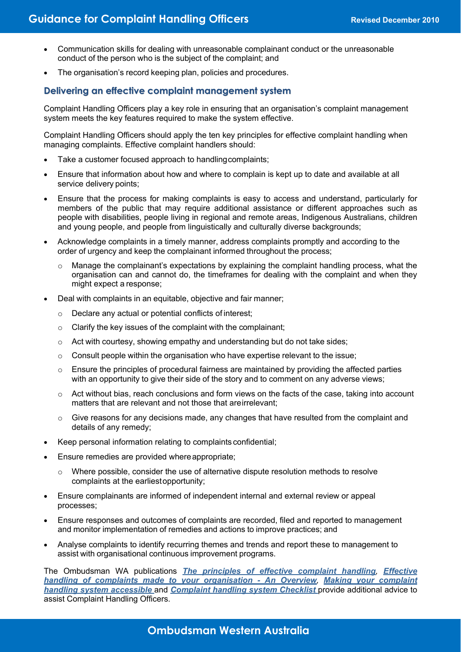- Communication skills for dealing with unreasonable complainant conduct or the unreasonable conduct of the person who is the subject of the complaint; and
- The organisation's record keeping plan, policies and procedures.

### **Delivering an effective complaint management system**

Complaint Handling Officers play a key role in ensuring that an organisation's complaint management system meets the key features required to make the system effective.

Complaint Handling Officers should apply the ten key principles for effective complaint handling when managing complaints. Effective complaint handlers should:

- Take a customer focused approach to handling complaints;
- Ensure that information about how and where to complain is kept up to date and available at all service delivery points;
- Ensure that the process for making complaints is easy to access and understand, particularly for members of the public that may require additional assistance or different approaches such as people with disabilities, people living in regional and remote areas, Indigenous Australians, children and young people, and people from linguistically and culturally diverse backgrounds;
- Acknowledge complaints in a timely manner, address complaints promptly and according to the order of urgency and keep the complainant informed throughout the process;
	- o Manage the complainant's expectations by explaining the complaint handling process, what the organisation can and cannot do, the timeframes for dealing with the complaint and when they might expect a response;
- Deal with complaints in an equitable, objective and fair manner;
	- o Declare any actual or potential conflicts of interest;
	- $\circ$  Clarify the key issues of the complaint with the complainant;
	- $\circ$  Act with courtesy, showing empathy and understanding but do not take sides;
	- $\circ$  Consult people within the organisation who have expertise relevant to the issue;
	- $\circ$  Ensure the principles of procedural fairness are maintained by providing the affected parties with an opportunity to give their side of the story and to comment on any adverse views;
	- o Act without bias, reach conclusions and form views on the facts of the case, taking into account matters that are relevant and not those that areirrelevant;
	- $\circ$  Give reasons for any decisions made, any changes that have resulted from the complaint and details of any remedy;
- Keep personal information relating to complaints confidential;
- Ensure remedies are provided where appropriate;
	- $\circ$  Where possible, consider the use of alternative dispute resolution methods to resolve complaints at the earliestopportunity;
- Ensure complainants are informed of independent internal and external review or appeal processes;
- Ensure responses and outcomes of complaints are recorded, filed and reported to management and monitor implementation of remedies and actions to improve practices; and
- Analyse complaints to identify recurring themes and trends and report these to management to assist with organisational continuous improvement programs.

The Ombudsman WA publications *The principles of effective complaint handling, Effective handling of complaints made to your organisation - An Overview, Making your complaint handling system accessible* and *Complaint handling system Checklist* provide additional advice to assist Complaint Handling Officers.

**Ombudsman Western Australia**